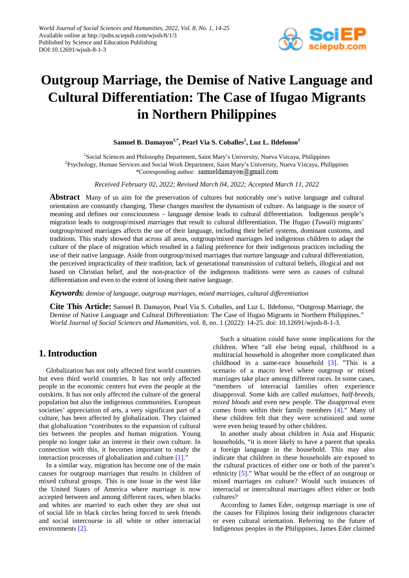

# **Outgroup Marriage, the Demise of Native Language and Cultural Differentiation: The Case of Ifugao Migrants in Northern Philippines**

 $\boldsymbol{\mathrm{Samuel}}$  **B.**  $\boldsymbol{\mathrm{Damayon}}^{1,*}$ ,  $\boldsymbol{\mathrm{Pearl}}$  Via  $\boldsymbol{\mathrm{S.}}$  Coballes $^2$ ,  $\boldsymbol{\mathrm{Luz}}$   $\boldsymbol{\mathrm{L.}}$   $\boldsymbol{\mathrm{Idefonso}}^{1}$ 

<sup>1</sup>Social Sciences and Philosophy Department, Saint Mary's University, Nueva Vizcaya, Philippines <sup>2</sup>Psychology, Human Services and Social Work Department, Saint Mary's University, Nueva Vizcaya, Philippines \*Corresponding author: samueldamayon@gmail.com

*Received February 02, 2022; Revised March 04, 2022; Accepted March 11, 2022*

**Abstract** Many of us aim for the preservation of cultures but noticeably one's native language and cultural orientation are constantly changing. These changes manifest the dynamism of culture. As language is the source of meaning and defines our consciousness – language demise leads to cultural differentiation. Indigenous people's migration leads to outgroup/mixed marriages that result to cultural differentiation. The Ifugao (*Tuwali*) migrants' outgroup/mixed marriages affects the use of their language, including their belief systems, dominant customs, and traditions. This study showed that across all areas, outgroup/mixed marriages led indigenous children to adapt the culture of the place of migration which resulted in a failing preference for their indigenous practices including the use of their native language. Aside from outgroup/mixed marriages that nurture language and cultural differentiation, the perceived impracticality of their tradition, lack of generational transmission of cultural beliefs, illogical and not based on Christian belief, and the non-practice of the indigenous traditions were seen as causes of cultural differentiation and even to the extent of losing their native language.

*Keywords: demise of language, outgroup marriages, mixed marriages, cultural differentiation*

**Cite This Article:** Samuel B. Damayon, Pearl Via S. Coballes, and Luz L. Ildefonso, "Outgroup Marriage, the Demise of Native Language and Cultural Differentiation: The Case of Ifugao Migrants in Northern Philippines." *World Journal of Social Sciences and Humanities*, vol. 8, no. 1 (2022): 14-25. doi: 10.12691/wjssh-8-1-3.

# **1. Introduction**

Globalization has not only affected first world countries but even third world countries. It has not only affected people in the economic centers but even the people at the outskirts. It has not only affected the culture of the general population but also the indigenous communities. European societies' appreciation of arts, a very significant part of a culture, has been affected by globalization. They claimed that globalization "contributes to the expansion of cultural ties between the peoples and human migration. Young people no longer take an interest in their own culture. In connection with this, it becomes important to study the interaction processes of globalization and culture  $[1]$ .

In a similar way, migration has become one of the main causes for outgroup marriages that results in children of mixed cultural groups. This is one issue in the west like the United States of America where marriage is now accepted between and among different races, when blacks and whites are married to each other they are shut out of social life in black circles being forced to seek friends and social intercourse in all white or other interracial environment[s \[2\].](#page-11-1) 

Such a situation could have some implications for the children. When "all else being equal, childhood in a multiracial household is altogether more complicated than childhood in a same-race household [\[3\].](#page-11-2) "This is a scenario of a macro level where outgroup or mixed marriages take place among different races. In some cases, "members of interracial families often experience disapproval. Some kids are called *mulattoes, half-breeds, mixed bloods* and even new people. The disapproval even comes from within their family members [\[4\].](#page-11-3)" Many of these children felt that they were scrutinized and some were even being teased by other children.

In another study about children in Asia and Hispanic households, "it is more likely to have a parent that speaks a foreign language in the household. This may also indicate that children in these households are exposed to the cultural practices of either one or both of the parent's ethnicity [\[5\].](#page-11-4)" What would be the effect of an outgroup or mixed marriages on culture? Would such instances of interracial or intercultural marriages affect either or both cultures?

According to James Eder, outgroup marriage is one of the causes for Filipinos losing their indigenous character or even cultural orientation. Referring to the future of Indigenous peoples in the Philippines, James Eder claimed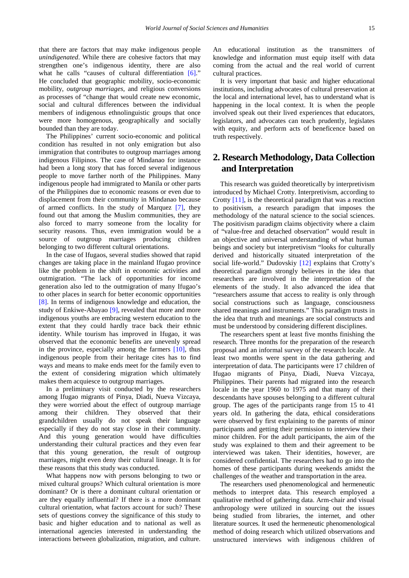that there are factors that may make indigenous people *unindigenated*. While there are cohesive factors that may strengthen one's indigenous identity, there are also what he calls "causes of cultural differentiation [\[6\]."](#page-11-5) He concluded that geographic mobility, socio-economic mobility, *outgroup marriages,* and religious conversions as processes of "change that would create new economic, social and cultural differences between the individual members of indigenous ethnolinguistic groups that once were more homogenous, geographically and socially bounded than they are today.

The Philippines' current socio-economic and political condition has resulted in not only emigration but also immigration that contributes to outgroup marriages among indigenous Filipinos. The case of Mindanao for instance had been a long story that has forced several indigenous people to move farther north of the Philippines. Many indigenous people had immigrated to Manila or other parts of the Philippines due to economic reasons or even due to displacement from their community in Mindanao because of armed conflicts. In the study of Marquez [\[7\],](#page-11-6) they found out that among the Muslim communities, they are also forced to marry someone from the locality for security reasons. Thus, even immigration would be a source of outgroup marriages producing children belonging to two different cultural orientations.

In the case of Ifugaos, several studies showed that rapid changes are taking place in the mainland Ifugao province like the problem in the shift in economic activities and outmigration. "The lack of opportunities for income generation also led to the outmigration of many Ifugao's to other places in search for better economic opportunities [\[8\].](#page-11-7) In terms of indigenous knowledge and education, the study of Enkiwe-Abayao [\[9\],](#page-11-8) revealed that more and more indigenous youths are embracing western education to the extent that they could hardly trace back their ethnic identity. While tourism has improved in Ifugao, it was observed that the economic benefits are unevenly spread in the province, especially among the farmers [\[10\],](#page-11-9) thus indigenous people from their heritage cites has to find ways and means to make ends meet for the family even to the extent of considering migration which ultimately makes them acquiesce to outgroup marriages.

In a preliminary visit conducted by the researchers among Ifugao migrants of Pinya, Diadi, Nueva Vizcaya, they were worried about the effect of outgroup marriage among their children. They observed that their grandchildren usually do not speak their language especially if they do not stay close in their community. And this young generation would have difficulties understanding their cultural practices and they even fear that this young generation, the result of outgroup marriages, might even deny their cultural lineage. It is for these reasons that this study was conducted.

What happens now with persons belonging to two or mixed cultural groups? Which cultural orientation is more dominant? Or is there a dominant cultural orientation or are they equally influential? If there is a more dominant cultural orientation, what factors account for such? These sets of questions convey the significance of this study to basic and higher education and to national as well as international agencies interested in understanding the interactions between globalization, migration, and culture.

An educational institution as the transmitters of knowledge and information must equip itself with data coming from the actual and the real world of current cultural practices.

It is very important that basic and higher educational institutions, including advocates of cultural preservation at the local and international level, has to understand what is happening in the local context. It is when the people involved speak out their lived experiences that educators, legislators, and advocates can teach prudently, legislates with equity, and perform acts of beneficence based on truth respectively.

# **2. Research Methodology, Data Collection and Interpretation**

This research was guided theoretically by interpretivism introduced by Michael Crotty. Interpretivism, according to Crotty [\[11\],](#page-11-10) is the theoretical paradigm that was a reaction to positivism, a research paradigm that imposes the methodology of the natural science to the social sciences. The positivism paradigm claims objectivity where a claim of "value-free and detached observation" would result in an objective and universal understanding of what human beings and society but interpretivism "looks for culturally derived and historically situated interpretation of the social life-world." Dudovskiy [\[12\]](#page-11-11) explains that Crotty's theoretical paradigm strongly believes in the idea that researchers are involved in the interpretation of the elements of the study. It also advanced the idea that "researchers assume that access to reality is only through social constructions such as language, consciousness shared meanings and instruments." This paradigm trusts in the idea that truth and meanings are social constructs and must be understood by considering different disciplines.

The researchers spent at least five months finishing the research. Three months for the preparation of the research proposal and an informal survey of the research locale. At least two months were spent in the data gathering and interpretation of data. The participants were 17 children of Ifugao migrants of Pinya, Diadi, Nueva Vizcaya, Philippines. Their parents had migrated into the research locale in the year 1960 to 1975 and that many of their descendants have spouses belonging to a different cultural group. The ages of the participants range from 15 to 41 years old. In gathering the data, ethical considerations were observed by first explaining to the parents of minor participants and getting their permission to interview their minor children. For the adult participants, the aim of the study was explained to them and their agreement to be interviewed was taken. Their identities, however, are considered confidential. The researchers had to go into the homes of these participants during weekends amidst the challenges of the weather and transportation in the area.

The researchers used phenomenological and hermeneutic methods to interpret data. This research employed a qualitative method of gathering data. Arm-chair and visual anthropology were utilized in sourcing out the issues being studied from libraries, the internet, and other literature sources. It used the hermeneutic phenomenological method of doing research which utilized observations and unstructured interviews with indigenous children of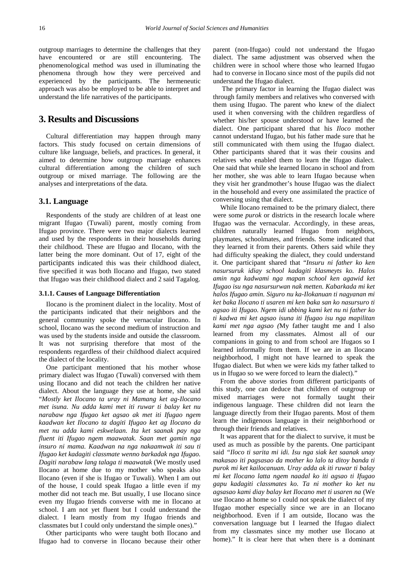outgroup marriages to determine the challenges that they have encountered or are still encountering. The phenomenological method was used in illuminating the phenomena through how they were perceived and experienced by the participants. The hermeneutic approach was also be employed to be able to interpret and understand the life narratives of the participants.

## **3. Results and Discussions**

Cultural differentiation may happen through many factors. This study focused on certain dimensions of culture like language, beliefs, and practices. In general, it aimed to determine how outgroup marriage enhances cultural differentiation among the children of such outgroup or mixed marriage. The following are the analyses and interpretations of the data.

#### **3.1. Language**

Respondents of the study are children of at least one migrant Ifugao (Tuwali) parent, mostly coming from Ifugao province. There were two major dialects learned and used by the respondents in their households during their childhood. These are Ifugao and Ilocano, with the latter being the more dominant. Out of 17, eight of the participants indicated this was their childhood dialect, five specified it was both Ilocano and Ifugao, two stated that Ifugao was their childhood dialect and 2 said Tagalog.

#### **3.1.1. Causes of Language Differentiation**

Ilocano is the prominent dialect in the locality. Most of the participants indicated that their neighbors and the general community spoke the vernacular Ilocano. In school, Ilocano was the second medium of instruction and was used by the students inside and outside the classroom. It was not surprising therefore that most of the respondents regardless of their childhood dialect acquired the dialect of the locality.

One participant mentioned that his mother whose primary dialect was Ifugao (Tuwali) conversed with them using Ilocano and did not teach the children her native dialect. About the language they use at home, she said "*Mostly ket Ilocano ta uray ni Mamang ket ag-Ilocano met isuna. Nu adda kami met iti ruwar ti balay ket nu narabaw nga Ifugao ket agsao ak met iti Ifugao ngem kaadwan ket Ilocano ta dagiti Ifugao ket ag Ilocano da met nu adda kami eskwelaan. Ita ket saanak pay nga fluent iti Ifugao ngem maawatak. Saan met gamin nga insuro ni mama. Kaadwan na nga nakaamwak iti sau ti Ifugao ket kadagiti classmate wenno barkadak nga Ifugao. Dagiti narabaw lang talaga ti maawatak* (We mostly used Ilocano at home due to my mother who speaks also Ilocano (even if she is Ifugao or Tuwali). When I am out of the house, I could speak Ifugao a little even if my mother did not teach me. But usually, I use Ilocano since even my Ifugao friends converse with me in Ilocano at school. I am not yet fluent but I could understand the dialect. I learn mostly from my Ifugao friends and classmates but I could only understand the simple ones)."

Other participants who were taught both Ilocano and Ifugao had to converse in Ilocano because their other parent (non-Ifugao) could not understand the Ifugao dialect. The same adjustment was observed when the children were in school where those who learned Ifugao had to converse in Ilocano since most of the pupils did not understand the Ifugao dialect.

The primary factor in learning the Ifugao dialect was through family members and relatives who conversed with them using Ifugao. The parent who knew of the dialect used it when conversing with the children regardless of whether his/her spouse understood or have learned the dialect. One participant shared that his *Iloco* mother cannot understand Ifugao, but his father made sure that he still communicated with them using the Ifugao dialect. Other participants shared that it was their cousins and relatives who enabled them to learn the Ifugao dialect. One said that while she learned Ilocano in school and from her mother, she was able to learn Ifugao because when they visit her grandmother's house Ifugao was the dialect in the household and every one assimilated the practice of conversing using that dialect.

While Ilocano remained to be the primary dialect, there were some *purok* or districts in the research locale where Ifugao was the vernacular. Accordingly, in these areas, children naturally learned Ifugao from neighbors, playmates, schoolmates, and friends. Some indicated that they learned it from their parents. Others said while they had difficulty speaking the dialect, they could understand it. One participant shared that "*Insuru ni father ko ken nasursuruk idiay school kadagiti klasmeyts ko. Halos amin nga kadwami nga mapan school ken agawid ket Ifugao isu nga nasursurwan nak metten. Kabarkada mi ket halos Ifugao amin. Siguro nu ka-Ilokanuan ti nagyanan mi ket baka Ilocano ti usaren mi ken baka san ko nasursuro ti agsao iti Ifugao. Ngem idi ubbing kami ket nu ni father ko ti kadwa mi ket agsao isuna iti Ifugao isu nga mapilitan kami met nga agsao (*My father taught me and I also learned from my classmates. Almost all of our companions in going to and from school are Ifugaos so I learned informally from them. If we are in an Ilocano neighborhood, I might not have learned to speak the Ifugao dialect. But when we were kids my father talked to us in Ifugao so we were forced to learn the dialect)*.*"

From the above stories from different participants of this study, one can deduce that children of outgroup or mixed marriages were not formally taught their indigenous language. These children did not learn the language directly from their Ifugao parents. Most of them learn the indigenous language in their neighborhood or through their friends and relatives.

It was apparent that for the dialect to survive, it must be used as much as possible by the parents. One participant said *"Iloco ti sarita mi idi. Isu nga siak ket saanak unay makasao iti pagsasao da mother ko lalo ta ditoy banda ti purok mi ket kailocanuan. Uray adda ak iti ruwar ti balay mi ket Ilocano latta ngem naadal ko iti agsao ti Ifugao gapu kadagiti classmates ko. Ta ni mother ko ket nu agsasao kami diay balay ket Ilocano met ti usaren na* (We use Ilocano at home so I could not speak the dialect of my Ifugao mother especially since we are in an Ilocano neighborhood. Even if I am outside, Ilocano was the conversation language but I learned the Ifugao dialect from my classmates since my mother use Ilocano at home)." It is clear here that when there is a dominant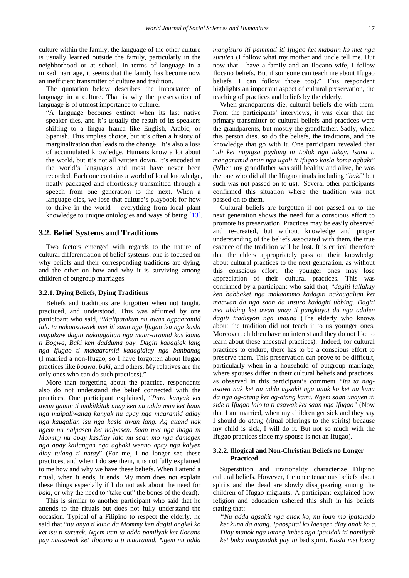culture within the family, the language of the other culture is usually learned outside the family, particularly in the neighborhood or at school. In terms of language in a mixed marriage, it seems that the family has become now an inefficient transmitter of culture and tradition.

The quotation below describes the importance of language in a culture. That is why the preservation of language is of utmost importance to culture.

"A language becomes extinct when its last native speaker dies, and it's usually the result of its speakers shifting to a lingua franca like English, Arabic, or Spanish. This implies choice, but it's often a history of marginalization that leads to the change. It's also a loss of accumulated knowledge. Humans know a lot about the world, but it's not all written down. It's encoded in the world's languages and most have never been recorded. Each one contains a world of local knowledge, neatly packaged and effortlessly transmitted through a speech from one generation to the next. When a language dies, we lose that culture's playbook for how to thrive in the world – everything from local plant knowledge to unique ontologies and ways of being [\[13\].](#page-11-12)

#### **3.2. Belief Systems and Traditions**

Two factors emerged with regards to the nature of cultural differentiation of belief systems: one is focused on why beliefs and their corresponding traditions are dying, and the other on how and why it is surviving among children of outgroup marriages.

#### **3.2.1. Dying Beliefs, Dying Traditions**

Beliefs and traditions are forgotten when not taught, practiced, and understood. This was affirmed by one participant who said, "*Malipatakun nu awan agpaaramid lalo ta nakaasawaek met iti saan nga Ifugao isu nga kasla mapukaw dagiti nakaugalian nga maar-aramid kas koma ti Bogwa, Baki ken dadduma pay. Dagiti kabagiak lang nga Ifugao ti makaaramid kadagidiay nga banbanag*  (I married a non-Ifugao, so I have forgotten about Ifugao practices like *bogwa*, *baki,* and others. My relatives are the only ones who can do such practices)."

More than forgetting about the practice, respondents also do not understand the belief connected with the practices. One participant explained, "*Para kanyak ket awan gamin ti makitkitak unay ken nu adda man ket haan nga maipaliwanag kanyak nu apay nga maaramid adiay nga kaugalian isu nga kasla awan lang. Ag attend nak ngem nu nalpasen ket nalpasen. Saan met nga ibaga ni Mommy nu apay kasdiay lalo nu saan mo nga damagen nga apay kailangan nga agbaki wenno apay nga kalyen diay tulang ti natay*" (For me, I no longer see these practices, and when I do see them, it is not fully explained to me how and why we have these beliefs. When I attend a ritual, when it ends, it ends. My mom does not explain these things especially if I do not ask about the need for *baki*, or why the need to "take out" the bones of the dead).

This is similar to another participant who said that he attends to the rituals but does not fully understand the occasion. Typical of a Filipino to respect the elderly, he said that "*nu anya ti kuna da Mommy ken dagiti angkel ko ket isu ti surutek. Ngem itan ta adda pamilyak ket Ilocana pay naasawak ket Ilocano a ti maaramid. Ngem nu adda*  *mangisuro iti pammati iti Ifugao ket mabalin ko met nga suruten* (I follow what my mother and uncle tell me. But now that I have a family and an Ilocano wife, I follow Ilocano beliefs. But if someone can teach me about Ifugao beliefs, I can follow those too)." This respondent highlights an important aspect of cultural preservation, the teaching of practices and beliefs by the elderly.

When grandparents die, cultural beliefs die with them. From the participants' interviews, it was clear that the primary transmitter of cultural beliefs and practices were the grandparents, but mostly the grandfather. Sadly, when this person dies, so do the beliefs, the traditions, and the knowledge that go with it. One participant revealed that "*idi ket napigsa paylang ni Lolok nga lakay. Isuna ti mangaramid amin nga ugali ti Ifugao kasla koma agbaki*" (When my grandfather was still healthy and alive, he was the one who did all the Ifugao rituals including "*baki*" but such was not passed on to us). Several other participants confirmed this situation where the tradition was not passed on to them.

Cultural beliefs are forgotten if not passed on to the next generation shows the need for a conscious effort to promote its preservation. Practices may be easily observed and re-created, but without knowledge and proper understanding of the beliefs associated with them, the true essence of the tradition will be lost. It is critical therefore that the elders appropriately pass on their knowledge about cultural practices to the next generation, as without this conscious effort, the younger ones may lose appreciation of their cultural practices. This was confirmed by a participant who said that, "*dagiti lallakay ken babbaket nga makaammo kadagiti nakaugalian ket maawan da nga saan da insuro kadagiti ubbing. Dagiti met ubbing ket awan unay ti pangkayat da nga adalen dagiti tradisyon nga inauna* (The elderly who knows about the tradition did not teach it to us younger ones. Moreover, children have no interest and they do not like to learn about these ancestral practices). Indeed, for cultural practices to endure, there has to be a conscious effort to preserve them. This preservation can prove to be difficult, particularly when in a household of outgroup marriage, where spouses differ in their cultural beliefs and practices, as observed in this participant's comment *"ita ta nagasawa nak ket nu adda agsakit nga anak ko ket nu kuna da nga ag-atang ket ag-atang kami. Ngem saan unayen iti side ti Ifugao lalo ta ti asawak ket saan nga Ifugao"* (Now that I am married, when my children get sick and they say I should do *atang* (ritual offerings to the spirits) because my child is sick, I will do it. But not so much with the Ifugao practices since my spouse is not an Ifugao).

#### **3.2.2. Illogical and Non-Christian Beliefs no Longer Practiced**

Superstition and irrationality characterize Filipino cultural beliefs. However, the once tenacious beliefs about spirits and the dead are slowly disappearing among the children of Ifugao migrants. A participant explained how religion and education ushered this shift in his beliefs stating that:

*"Nu adda agsakit nga anak ko, nu ipan mo ipatalado ket kuna da atang. Ipaospital ko laengen diay anak ko a. Diay manok nga iatang imbes nga ipasidak iti pamilyak ket baka maipasidak pay iti* bad spirit. *Kasta met laeng*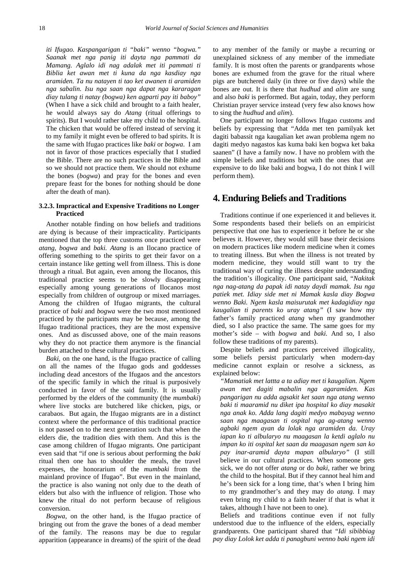*iti Ifugao. Kaspangarigan ti "baki" wenno "bogwa." Saanak met nga panig iti dayta nga pammati da Mamang. Aglalo idi nag adalak met iti pammati ti Biblia ket awan met ti kuna da nga kasdiay nga aramiden. Ta nu natayen ti tao ket awanen ti aramiden nga sabalin. Isu nga saan nga dapat nga kararagan diay tulang ti natay (bogwa) ken agparti pay iti baboy"*  (When I have a sick child and brought to a faith healer, he would always say do *Atang* (ritual offerings to spirits). But I would rather take my child to the hospital. The chicken that would be offered instead of serving it to my family it might even be offered to bad spirits. It is the same with Ifugao practices like *baki* or *bogwa*. I am not in favor of those practices especially that I studied the Bible. There are no such practices in the Bible and so we should not practice them. We should not exhume the bones (*bogwa*) and pray for the bones and even prepare feast for the bones for nothing should be done after the death of man).

#### **3.2.3. Impractical and Expensive Traditions no Longer Practiced**

Another notable finding on how beliefs and traditions are dying is because of their impracticality. Participants mentioned that the top three customs once practiced were *atang, bogwa* and *baki. Atang* is an Ilocano practice of offering something to the spirits to get their favor on a certain instance like getting well from illness. This is done through a ritual. But again, even among the Ilocanos, this traditional practice seems to be slowly disappearing especially among young generations of Ilocanos most especially from children of outgroup or mixed marriages. Among the children of Ifugao migrants, the cultural practice of *baki* and *bogwa* were the two most mentioned practiced by the participants may be because, among the Ifugao traditional practices, they are the most expensive ones. And as discussed above, one of the main reasons why they do not practice them anymore is the financial burden attached to these cultural practices.

*Baki,* on the one hand, is the Ifugao practice of calling on all the names of the Ifugao gods and goddesses including dead ancestors of the Ifugaos and the ancestors of the specific family in which the ritual is purposively conducted in favor of the said family. It is usually performed by the elders of the community (the *mumbaki*) where live stocks are butchered like chicken, pigs, or carabaos. But again, the Ifugao migrants are in a distinct context where the performance of this traditional practice is not passed on to the next generation such that when the elders die, the tradition dies with them. And this is the case among children of Ifugao migrants. One participant even said that "if one is serious about performing the *baki* ritual then one has to shoulder the meals, the travel expenses, the honorarium of the *mumbaki* from the mainland province of Ifugao". But even in the mainland, the practice is also waning not only due to the death of elders but also with the influence of religion. Those who knew the ritual do not perform because of religious conversion.

*Bogwa*, on the other hand, is the Ifugao practice of bringing out from the grave the bones of a dead member of the family. The reasons may be due to regular apparition (appearance in dreams) of the spirit of the dead

to any member of the family or maybe a recurring or unexplained sickness of any member of the immediate family. It is most often the parents or grandparents whose bones are exhumed from the grave for the ritual where pigs are butchered daily (in three or five days) while the bones are out. It is there that *hudhud* and *alim* are sung and also *baki* is performed. But again, today, they perform Christian prayer service instead (very few also knows how to sing the *hudhud* and *alim*).

One participant no longer follows Ifugao customs and beliefs by expressing that "Adda met ten pamilyak ket dagiti babassit nga kaugalian ket awan problema ngem no dagiti medyo nagastos kas kuma baki ken bogwa ket baka saanen" (I have a family now. I have no problem with the simple beliefs and traditions but with the ones that are expensive to do like baki and bogwa, I do not think I will perform them).

## **4. Enduring Beliefs and Traditions**

Traditions continue if one experienced it and believes it*.*  Some respondents based their beliefs on an empiricist perspective that one has to experience it before he or she believes it. However, they would still base their decisions on modern practices like modern medicine when it comes to treating illness. But when the illness is not treated by modern medicine, they would still want to try the traditional way of curing the illness despite understanding the tradition's illogicality. One participant said, "*Nakitak nga nag-atang da papak idi natay daydi mamak. Isu nga patiek met. Idiay side met ni Mamak kasla diay Bogwa wenno Baki. Ngem kasla maisurutak met kadagidiay nga kaugalian ti parents ko uray atang"* (I saw how my father's family practiced *atang* when my grandmother died, so I also practice the same. The same goes for my mother's side – with *bogwa* and *baki.* And so, I also follow these traditions of my parents).

Despite beliefs and practices perceived illogicality, some beliefs persist particularly when modern-day medicine cannot explain or resolve a sickness, as explained below:

*"Mamatiak met lattta a ta adiay met ti kaugalian. Ngem awan met dagiti mabalin nga agaramiden. Kas pangarigan nu adda agsakit ket saan nga atang wenno baki ti maaramid nu diket ipa hospital ko diay masakit nga anak ko. Adda lang dagiti medyo mabayag wenno saan nga maagasan ti ospital nga ag-atang wenno agbaki ngem ayan da lolak nga aramiden da. Uray iapan ko ti albularyo nu maagasan la ketdi aglalo nu impan ko iti ospital ket saan da maagasan ngem san ko pay inar-aramid dayta mapan albularyo"* (I still believe in our cultural practices. When someone gets sick, we do not offer *atang* or do *baki,* rather we bring the child to the hospital. But if they cannot heal him and he's been sick for a long time, that's when I bring him to my grandmother's and they may do *atang.* I may even bring my child to a faith healer if that is what it takes, although I have not been to one).

Beliefs and traditions continue even if not fully understood due to the influence of the elders, especially grandparents. One participant shared that "*Idi sibibbiag pay diay Lolok ket adda ti panagbuni wenno baki ngem idi*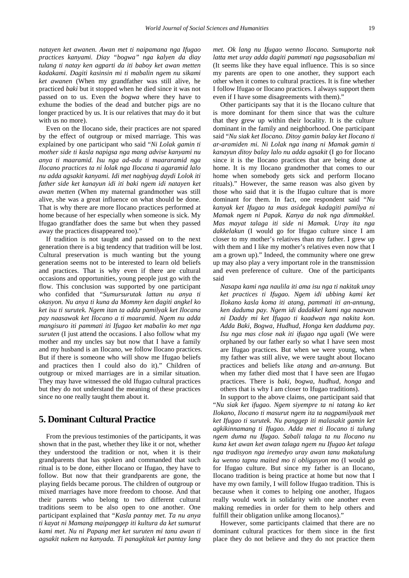*natayen ket awanen. Awan met ti naipamana nga Ifugao practices kanyami. Diay "bogwa" nga kalyen da diay tulang ti natay ken agparti da iti baboy ket awan metten kadakami. Dagiti kasinsin mi ti mabalin ngem nu sikami ket awanen* (When my grandfather was still alive, he practiced *baki* but it stopped when he died since it was not passed on to us. Even the *bogwa* where they have to exhume the bodies of the dead and butcher pigs are no longer practiced by us. It is our relatives that may do it but with us no more).

Even on the Ilocano side, their practices are not spared by the effect of outgroup or mixed marriage. This was explained by one participant who said "*Ni Lolak gamin ti mother side ti kasla napigsa nga mang advise kanyami nu anya ti maaramid. Isu nga ad-adu ti maararamid nga Ilocano practices ta ni lolak nga Ilocana ti agaramid lalo nu adda agsakit kanyami. Idi met nagbiyag daydi Lolok iti father side ket kanayun idi iti baki ngem idi natayen ket awan metten* (When my maternal grandmother was still alive, she was a great influence on what should be done. That is why there are more Ilocano practices performed at home because of her especially when someone is sick. My Ifugao grandfather does the same but when they passed away the practices disappeared too)."

If tradition is not taught and passed on to the next generation there is a big tendency that tradition will be lost. Cultural preservation is much wanting but the young generation seems not to be interested to learn old beliefs and practices. That is why even if there are cultural occasions and opportunities, young people just go with the flow. This conclusion was supported by one participant who confided that *"Sumursurutak lattan nu anya ti okasyon. Nu anya ti kuna da Mommy ken dagiti angkel ko ket isu ti surutek. Ngem itan ta adda pamilyak ket Ilocana pay naasawak ket Ilocano a ti maaramid. Ngem nu adda mangisuro iti pammati iti Ifugao ket mabalin ko met nga suruten* (I just attend the occasions. I also follow what my mother and my uncles say but now that I have a family and my husband is an Ilocano, we follow Ilocano practices. But if there is someone who will show me Ifugao beliefs and practices then I could also do it)." Children of outgroup or mixed marriages are in a similar situation. They may have witnessed the old Ifugao cultural practices but they do not understand the meaning of these practices since no one really taught them about it.

## **5. Dominant Cultural Practice**

From the previous testimonies of the participants, it was shown that in the past, whether they like it or not, whether they understood the tradition or not, when it is their grandparents that has spoken and commanded that such ritual is to be done, either Ilocano or Ifugao, they have to follow. But now that their grandparents are gone, the playing fields became porous. The children of outgroup or mixed marriages have more freedom to choose. And that their parents who belong to two different cultural traditions seem to be also open to one another. One participant explained that "*Kasla pantay met. Ta nu anya ti kayat ni Mamang maipanggep iti kultura da ket sumurut kami met. Nu ni Papang met ket suruten mi tanu awan ti agsakit nakem na kanyada. Ti panagkitak ket pantay lang* 

*met. Ok lang nu Ifugao wenno Ilocano. Sumuporta nak latta met uray adda dagiti pammati nga pagsasabalian mi* (It seems like they have equal influence. This is so since my parents are open to one another, they support each other when it comes to cultural practices. It is fine whether I follow Ifugao or Ilocano practices. I always support them even if I have some disagreements with them)."

Other participants say that it is the Ilocano culture that is more dominant for them since that was the culture that they grew up within their locality. It is the culture dominant in the family and neighborhood. One participant said "*Nu siak ket Ilocano. Ditoy gamin balay ket Ilocano ti ar-aramiden mi. Ni Lolak nga inang ni Mamak gamin ti kanayun ditoy balay lalo nu adda agsakit* (I go for Ilocano since it is the Ilocano practices that are being done at home. It is my Ilocano grandmother that comes to our home when somebody gets sick and perform Ilocano rituals)." However, the same reason was also given by those who said that it is the Ifugao culture that is more dominant for them. In fact, one respondent said "*Nu kanyak ket Ifugao ta mas asidegak kadagiti pamilya ni Mamak ngem ni Papak. Kanya da nak nga dimmakkel. Mas mayat talaga iti side ni Mamak. Uray ita nga dakkelakun* (I would go for Ifugao culture since I am closer to my mother's relatives than my father. I grew up with them and I like my mother's relatives even now that I am a grown up)." Indeed, the community where one grew up may also play a very important role in the transmission and even preference of culture. One of the participants said

*Nasapa kami nga naulila iti ama isu nga ti nakitak unay ket practices ti Ifugao. Ngem idi ubbing kami ket Ilokano kasla koma iti atang, pammati iti an-annung, ken daduma pay. Ngem idi dadakkel kami nga naawan ni Daddy mi ket Ifugao ti kaadwan nga nakita kon. Adda Baki, Bogwa, Hudhud, Honga ken dadduma pay. Isu nga mas close nak iti ifugao nga ugali* (We were orphaned by our father early so what I have seen most are Ifugao practices. But when we were young, when my father was still alive, we were taught about Ilocano practices and beliefs like *atang* and *an-annung*. But when my father died most that I have seen are Ifugao practices. There is *baki*, *bogwa*, *hudhud*, *honga* and others that is why I am closer to Ifugao traditions).

In support to the above claims, one participant said that "*Nu siak ket ifugao. Ngem siyempre ta ni tatang ko ket Ilokano, Ilocano ti masurut ngem ita ta nagpamilyaak met ket Ifugao ti surutek. Nu panggep iti malasakit gamin ket agkikinnamang ti Ifugao. Adda met ti Ilocano ti tulung ngem duma nu Ifugao. Sabali talaga ta nu Ilocano nu kuna ket awan ket awan talaga ngem nu Ifugao ket talaga nga tradisyon nga iremedyo uray awan tanu makatulung ka wenno tapnu maited mo ti obligasyon mo* (I would go for Ifugao culture. But since my father is an Ilocano, Ilocano tradition is being practice at home but now that I have my own family, I will follow Ifugao tradition. This is because when it comes to helping one another, Ifugaos really would work in solidarity with one another even making remedies in order for them to help others and fulfill their obligation unlike among Ilocanos)."

However, some participants claimed that there are no dominant cultural practices for them since in the first place they do not believe and they do not practice them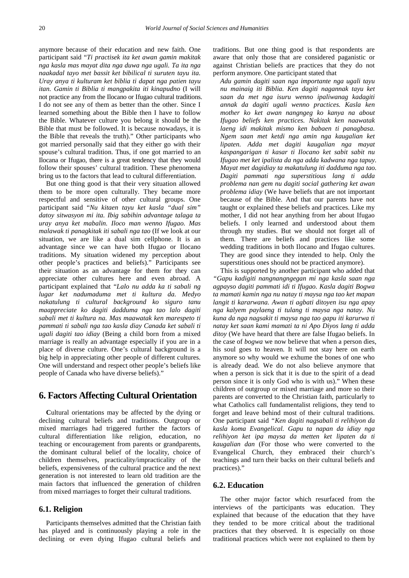anymore because of their education and new faith. One participant said "*Ti practisek ita ket awan gamin makitak nga kasla mas mayat dita nga duwa nga ugali. Ta ita nga naakadal tayo met bassit ket bibilical ti suruten tayu ita. Uray anya ti kulturam ket biblia ti dapat nga patien tayu itan. Gamin ti Biblia ti mangpakita iti kinapudno* (I will not practice any from the Ilocano or Ifugao cultural traditions. I do not see any of them as better than the other. Since I learned something about the Bible then I have to follow the Bible. Whatever culture you belong it should be the Bible that must be followed. It is because nowadays, it is the Bible that reveals the truth)." Other participants who got married personally said that they either go with their spouse's cultural tradition. Thus, if one got married to an Ilocana or Ifugao, there is a great tendency that they would follow their spouses' cultural tradition. These phenomena bring us to the factors that lead to cultural differentiation.

But one thing good is that their very situation allowed them to be more open culturally. They became more respectful and sensitive of other cultural groups. One participant said "*Nu kitaen tayu ket kasla "dual sim" datoy sitwasyon mi ita. Ibig sabihin advantage talaga ta uray anya ket mabalin. Iloco man wenno Ifugao. Mas malawak ti panagkitak iti sabali nga tao* (If we look at our situation, we are like a dual sim cellphone. It is an advantage since we can have both Ifugao or Ilocano traditions. My situation widened my perception about other people's practices and beliefs)." Participants see their situation as an advantage for them for they can appreciate other cultures here and even abroad. A participant explained that "*Lalo nu adda ka ti sabali ng lugar ket nadumaduma met ti kultura da. Medyo nakatulung ti cultural background ko siguro tanu maappreciate ko dagiti dadduma nga tao lalo dagiti sabali met ti kultura na. Mas maawatak ken marespeto ti pammati ti sabali nga tao kasla diay Canada ket sabali ti ugali dagiti tao idiay* (Being a child born from a mixed marriage is really an advantage especially if you are in a place of diverse culture. One's cultural background is a big help in appreciating other people of different cultures. One will understand and respect other people's beliefs like people of Canada who have diverse beliefs)."

## **6. Factors Affecting Cultural Orientation**

**C**ultural orientations may be affected by the dying or declining cultural beliefs and traditions. Outgroup or mixed marriages had triggered further the factors of cultural differentiation like religion, education, no teaching or encouragement from parents or grandparents, the dominant cultural belief of the locality, choice of children themselves, practicality/impracticality of the beliefs, expensiveness of the cultural practice and the next generation is not interested to learn old tradition are the main factors that influenced the generation of children from mixed marriages to forget their cultural traditions.

#### **6.1. Religion**

Participants themselves admitted that the Christian faith has played and is continuously playing a role in the declining or even dying Ifugao cultural beliefs and traditions. But one thing good is that respondents are aware that only those that are considered paganistic or against Christian beliefs are practices that they do not perform anymore. One participant stated that

*Adu gamin dagiti saan nga importante nga ugali tayu nu mainaig iti Biblia. Ken dagiti nagannak tayu ket saan da met nga isuru wenno ipaliwanag kadagiti annak da dagiti ugali wenno practices. Kasla ken mother ko ket awan nangngeg ko kanya na about Ifugao beliefs ken practices. Nakitak ken naawatak laeng idi makitak mismo ken babaen ti panagbasa. Ngem saan met ketdi nga amin nga kaugalian ket lipaten. Adda met dagiti kaugalian nga mayat kaspangarigan ti kasar ti Ilocano ket sabit sabit nu Ifugao met ket ipalista da nga adda kadwana nga tapuy. Mayat met dagidiay ta makatulung iti dadduma nga tao. Dagiti pammati nga superstitious lang ti adda problema nan gem nu dagiti social gathering ket awan problema idiay* (We have beliefs that are not important because of the Bible. And that our parents have not taught or explained these beliefs and practices. Like my mother, I did not hear anything from her about Ifugao beliefs. I only learned and understood about them through my studies. But we should not forget all of them. There are beliefs and practices like some wedding traditions in both Ilocano and Ifugao cultures. They are good since they intended to help. Only the superstitious ones should not be practiced anymore).

This is supported by another participant who added that *"Gapu kadigiti nangnangngegan mi nga kasla saan nga agpayso dagiti pammati idi ti Ifugao. Kasla dagiti Bogwa ta mamati kamin nga nu natay ti maysa nga tao ket mapan langit ti kararwana. Awan ti agbati ditoyen isu nga apay nga kalyem paylaeng ti tulang ti maysa nga natay. Nu kuna da nga nagsakit ti maysa nga tao gapu iti karurwa ti natay ket saan kami mamati ta ni Apo Diyos lang ti adda ditoy* (We have heard that there are false Ifugao beliefs. In the case of *bogwa* we now believe that when a person dies, his soul goes to heaven. It will not stay here on earth anymore so why would we exhume the bones of one who is already dead. We do not also believe anymore that when a person is sick that it is due to the spirit of a dead person since it is only God who is with us)." When these children of outgroup or mixed marriage and more so their parents are converted to the Christian faith, particularly to what Catholics call fundamentalist religions, they tend to forget and leave behind most of their cultural traditions. One participant said *"Ken dagiti nagsabali ti relihiyon da kasla koma Evangelical. Gapu ta napan da idiay nga relihiyon ket ipa maysa da metten ket lipaten da ti kaugalian dan* (For those who were converted to the Evangelical Church, they embraced their church's teachings and turn their backs on their cultural beliefs and practices)."

#### **6.2. Education**

The other major factor which resurfaced from the interviews of the participants was education. They explained that because of the education that they have they tended to be more critical about the traditional practices that they observed. It is especially on those traditional practices which were not explained to them by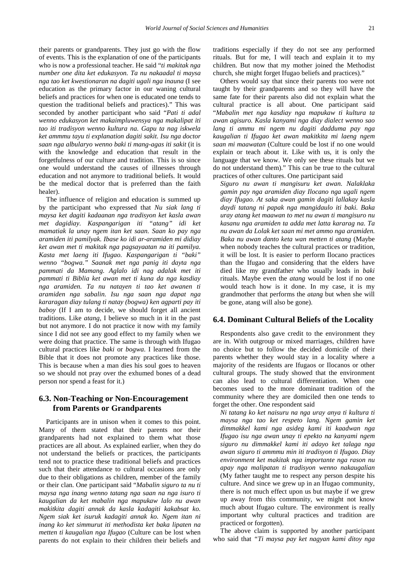their parents or grandparents. They just go with the flow of events. This is the explanation of one of the participants who is now a professional teacher. He said "*ti makitak nga number one dita ket edukasyon. Ta nu nakaadal ti maysa nga tao ket kwestionaran na dagiti ugali nga inauna* (I see education as the primary factor in our waning cultural beliefs and practices for when one is educated one tends to question the traditional beliefs and practices)." This was seconded by another participant who said "*Pati ti adal wenno edukasyon ket makaimpluwensya nga makalipat iti tao iti tradisyon wenno kultura na. Gapu ta nag iskwela ket ammmu tayu ti explanation dagiti sakit. Isu nga doctor saan nga albularyo wenno baki ti mang-agas iti sakit* (it is with the knowledge and education that result in the forgetfulness of our culture and tradition. This is so since one would understand the causes of illnesses through education and not anymore to traditional beliefs. It would be the medical doctor that is preferred than the faith healer).

The influence of religion and education is summed up by the participant who expressed that *Nu siak lang ti maysa ket dagiti kadaanan nga tradisyon ket kasla awan met dagidiay. Kaspangarigan iti "atang" idi ket mamatiak la unay ngem itan ket saan. Saan ko pay nga aramiden iti pamilyak. Ibase ko idi ar-aramiden mi didiay ket awan met ti makitak nga pagsayaatan na iti pamilya. Kasta met laeng iti Ifugao. Kaspangarigan ti "baki" wenno "bogwa." Saanak met nga panig iti dayta nga pammati da Mamang. Aglalo idi nag adalak met iti pammati ti Biblia ket awan met ti kuna da nga kasdiay nga aramiden. Ta nu natayen ti tao ket awanen ti aramiden nga sabalin. Isu nga saan nga dapat nga kararagan diay tulang ti natay (bogwa) ken agparti pay iti baboy* (If I am to decide, we should forget all ancient traditions. Like *atang*, I believe so much in it in the past but not anymore. I do not practice it now with my family since I did not see any good effect to my family when we were doing that practice. The same is through with Ifugao cultural practices like *baki* or *bogwa*. I learned from the Bible that it does not promote any practices like those. This is because when a man dies his soul goes to heaven so we should not pray over the exhumed bones of a dead person nor spend a feast for it.)

## **6.3. Non-Teaching or Non-Encouragement from Parents or Grandparents**

Participants are in unison when it comes to this point. Many of them stated that their parents nor their grandparents had not explained to them what those practices are all about. As explained earlier, when they do not understand the beliefs or practices, the participants tend not to practice these traditional beliefs and practices such that their attendance to cultural occasions are only due to their obligations as children, member of the family or their clan. One participant said "*Mabalin siguro ta nu ti maysa nga inang wenno tatang nga saan na nga isuro ti kaugalian da ket mabalin nga mapukaw lalo nu awan makitkita dagiti annak da kasla kadagiti kakabsat ko. Ngem siak ket isuruk kadagiti annak ko. Ngem itan ni inang ko ket simmurut iti methodista ket baka lipaten na metten ti kaugalian nga Ifugao* (Culture can be lost when parents do not explain to their children their beliefs and

traditions especially if they do not see any performed rituals. But for me, I will teach and explain it to my children. But now that my mother joined the Methodist church, she might forget Ifugao beliefs and practices)."

Others would say that since their parents too were not taught by their grandparents and so they will have the same fate for their parents also did not explain what the cultural practice is all about. One participant said "*Mabalin met nga kasdiay nga mapukaw ti kultura ta awan agisuro. Kasla kanyami nga diay dialect wenno sao lang ti ammu mi ngem nu dagiti dadduma pay nga kaugalian ti Ifugao ket awan makitkita mi laeng ngem saan mi maawatan* (Culture could be lost if no one would explain or teach about it. Like with us, it is only the language that we know. We only see these rituals but we do not understand them)." This can be true to the cultural practices of other cultures. One participant said

*Siguro nu awan ti mangisuru ket awan. Nalaklaka gamin pay nga aramiden diay Ilocano nga ugali ngem diay Ifugao. At saka awan gamin dagiti lallakay kasla daydi tatang ni papak nga mangidaulo iti baki. Baka uray atang ket maawan to met nu awan ti mangisuro nu kasanu nga aramiden ta adda met latta kararag na. Ta nu awan da Lolak ket saan mi met ammo nga aramiden. Baka nu awan danto keta wan metten ti atang* (Maybe when nobody teaches the cultural practices or tradition, it will be lost. It is easier to perform Ilocano practices than the Ifugao and considering that the elders have died like my grandfather who usually leads in *baki* rituals. Maybe even the *atang* would be lost if no one would teach how is it done. In my case, it is my grandmother that performs the *atang* but when she will be gone, atang will also be gone).

#### **6.4. Dominant Cultural Beliefs of the Locality**

Respondents also gave credit to the environment they are in. With outgroup or mixed marriages, children have no choice but to follow the decided domicile of their parents whether they would stay in a locality where a majority of the residents are Ifugaos or Ilocanos or other cultural groups. The study showed that the environment can also lead to cultural differentiation. When one becomes used to the more dominant tradition of the community where they are domiciled then one tends to forget the other. One respondent said

*Ni tatang ko ket naisuru na nga uray anya ti kultura ti maysa nga tao ket respeto lang. Ngem gamin ket dimmakkel kami nga asideg kami iti kaadwan nga Ifugao isu nga awan unay ti epekto na kanyami ngem siguro nu dimmakkel kami iti adayo ket talaga nga awan siguro ti ammmu min iti tradisyon ti Ifugao. Diay environment ket makitak nga importante nga rason nu apay nga malipatan ti tradisyon wenno nakaugalian*  (My father taught me to respect any person despite his culture. And since we grew up in an Ifugao community, there is not much effect upon us but maybe if we grew up away from this community, we might not know much about Ifugao culture. The environment is really important why cultural practices and tradition are practiced or forgotten).

The above claim is supported by another participant who said that *"Ti maysa pay ket nagyan kami ditoy nga*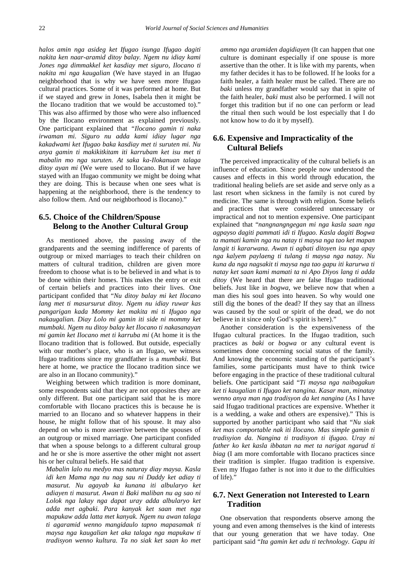*halos amin nga asideg ket Ifugao isunga Ifugao dagiti nakita ken naar-aramid ditoy balay. Ngem nu idiay kami Jones nga dimmakkel ket kasdiay met siguro, Ilocano ti nakita mi nga kaugalian* (We have stayed in an Ifugao neighborhood that is why we have seen more Ifugao cultural practices. Some of it was performed at home. But if we stayed and grew in Jones, Isabela then it might be the Ilocano tradition that we would be accustomed to)." This was also affirmed by those who were also influenced by the Ilocano environment as explained previously. One participant explained that *"Ilocano gamin ti naka irwaman mi. Siguro nu adda kami idiay lugar nga kakadwami ket Ifugao baka kasdiay met ti suruten mi. Nu anya gamin ti makikitkitam iti karrubam ket isu met ti mabalin mo nga suruten. At saka ka-Ilokanuan talaga ditoy ayan mi* (We were used to Ilocano. But if we have stayed with an Ifugao community we might be doing what they are doing. This is because when one sees what is happening at the neighborhood, there is the tendency to also follow them. And our neighborhood is Ilocano)."

## **6.5. Choice of the Children/Spouse Belong to the Another Cultural Group**

As mentioned above, the passing away of the grandparents and the seeming indifference of parents of outgroup or mixed marriages to teach their children on matters of cultural tradition, children are given more freedom to choose what is to be believed in and what is to be done within their homes. This makes the entry or exit of certain beliefs and practices into their lives. One participant confided that "*Nu ditoy balay mi ket Ilocano lang met ti masursurut ditoy. Ngem nu idiay ruwar kas pangarigan kada Mommy ket makita mi ti Ifugao nga nakaugalian. Diay Lolo mi gamin iti side ni mommy ket mumbaki. Ngem nu ditoy balay ket Ilocano ti nakasanayan mi gamin ket Ilocano met ti karruba mi* (At home it is the Ilocano tradition that is followed. But outside, especially with our mother's place, who is an Ifugao, we witness Ifugao traditions since my grandfather is a *mumbaki*. But here at home, we practice the Ilocano tradition since we are also in an Ilocano community)."

Weighing between which tradition is more dominant, some respondents said that they are not opposites they are only different. But one participant said that he is more comfortable with Ilocano practices this is because he is married to an Ilocano and so whatever happens in their house, he might follow that of his spouse. It may also depend on who is more assertive between the spouses of an outgroup or mixed marriage. One participant confided that when a spouse belongs to a different cultural group and he or she is more assertive the other might not assert his or her cultural beliefs. He said that

*Mabalin lalo nu medyo mas naturay diay maysa. Kasla idi ken Mama nga nu nag sau ni Daddy ket adiay ti masurut. Nu agayab ka kunana iti albularyo ket adiayen ti masurut. Awan ti Baki maliban nu ag sao ni Lolok nga lakay nga dapat uray adda albularyo ket adda met agbaki. Para kanyak ket saan met nga mapukaw adda latta met kanyak. Ngem nu awan talaga ti agaramid wenno mangidaulo tapno mapasamak ti maysa nga kaugalian ket aka talaga nga mapukaw ti tradisyon wenno kultura. Ta no siak ket saan ko met*  *ammo nga aramiden dagidiayen* (It can happen that one culture is dominant especially if one spouse is more assertive than the other. It is like with my parents, when my father decides it has to be followed. If he looks for a faith healer, a faith healer must be called. There are no *baki* unless my grandfather would say that in spite of the faith healer, *baki* must also be performed. I will not forget this tradition but if no one can perform or lead the ritual then such would be lost especially that I do not know how to do it by myself).

## **6.6. Expensive and Impracticality of the Cultural Beliefs**

The perceived impracticality of the cultural beliefs is an influence of education. Since people now understood the causes and effects in this world through education, the traditional healing beliefs are set aside and serve only as a last resort when sickness in the family is not cured by medicine. The same is through with religion. Some beliefs and practices that were considered unnecessary or impractical and not to mention expensive. One participant explained that "*nangnangngegan mi nga kasla saan nga agpayso dagiti pammati idi ti Ifugao. Kasla dagiti Bogwa ta mamati kamin nga nu natay ti maysa nga tao ket mapan langit ti kararwana. Awan ti agbati ditoyen isu nga apay nga kalyem paylaeng ti tulang ti maysa nga natay. Nu kuna da nga nagsakit ti maysa nga tao gapu iti karurwa ti natay ket saan kami mamati ta ni Apo Diyos lang ti adda ditoy* (We heard that there are false Ifugao traditional beliefs. Just like in *bogwa*, we believe now that when a man dies his soul goes into heaven. So why would one still dig the bones of the dead? If they say that an illness was caused by the soul or spirit of the dead, we do not believe in it since only God's spirit is here)."

Another consideration is the expensiveness of the Ifugao cultural practices. In the Ifugao tradition, such practices as *baki* or *bogwa* or any cultural event is sometimes done concerning social status of the family. And knowing the economic standing of the participant's families, some participants must have to think twice before engaging in the practice of these traditional cultural beliefs. One participant said "*Ti maysa nga naibagakun ket ti kaugalian ti Ifugao ket nangina. Kasar man, minatay wenno anya man nga tradisyon da ket nangina* (As I have said Ifugao traditional practices are expensive. Whether it is a wedding, a wake and others are expensive)." This is supported by another participant who said that "*Nu siak ket mas comportable nak iti Ilocano. Mas simple gamin ti tradisyion da. Nangina ti tradisyon ti ifugao. Uray ni father ko ket kasla ibbatan na met ta narigat ngarud ti biag* (I am more comfortable with Ilocano practices since their tradition is simpler. Ifugao tradition is expensive. Even my Ifugao father is not into it due to the difficulties of life)."

### **6.7. Next Generation not Interested to Learn Tradition**

One observation that respondents observe among the young and even among themselves is the kind of interests that our young generation that we have today. One participant said "*Ita gamin ket adu ti technology. Gapu iti*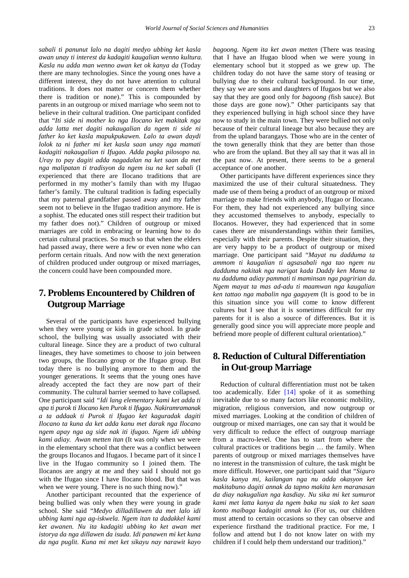*sabali ti panunut lalo na dagiti medyo ubbing ket kasla awan unay ti interest da kadagiti kaugalian wenno kultura. Kasla nu adda man wenno awan ket ok kanya da* (Today there are many technologies. Since the young ones have a different interest, they do not have attention to cultural traditions. It does not matter or concern them whether there is tradition or none)." This is compounded by parents in an outgroup or mixed marriage who seem not to believe in their cultural tradition. One participant confided that "*Iti side ni mother ko nga Ilocano ket makitak nga adda latta met dagiti nakaugalian da ngem ti side ni father ko ket kasla mapukpukawen. Lalo ta awan daydi lolok ta ni father mi ket kasla saan unay nga mamati kadagiti nakaugalian ti Ifugao. Adda pagka pilosopo na. Uray to pay dagiti adda nagadalan na ket saan da met nga malipatan ti tradisyon da ngem isu na ket sabali* (I experienced that there are Ilocano traditions that are performed in my mother's family than with my Ifugao father's family. The cultural tradition is fading especially that my paternal grandfather passed away and my father seem not to believe in the Ifugao tradition anymore. He is a sophist. The educated ones still respect their tradition but my father does not)." Children of outgroup or mixed marriages are cold in embracing or learning how to do certain cultural practices. So much so that when the elders had passed away, there were a few or even none who can perform certain rituals. And now with the next generation of children produced under outgroup or mixed marriages, the concern could have been compounded more.

# **7. Problems Encountered by Children of Outgroup Marriage**

Several of the participants have experienced bullying when they were young or kids in grade school. In grade school, the bullying was usually associated with their cultural lineage. Since they are a product of two cultural lineages, they have sometimes to choose to join between two groups, the Ilocano group or the Ifugao group. But today there is no bullying anymore to them and the younger generations. It seems that the young ones have already accepted the fact they are now part of their community. The cultural barrier seemed to have collapsed. One participant said *"Idi lang elementary kami ket adda ti apa ti purok ti Ilocano ken Purok ti Ifugao. Nakiramramanak a ta addaak ti Purok ti Ifugao ket kaguradak dagiti Ilocano ta kuna da ket adda kanu met darak nga Ilocano ngem apay nga ag side nak iti ifugao. Ngem idi ubbing kami adiay. Awan metten itan* (It was only when we were in the elementary school that there was a conflict between the groups Ilocanos and Ifugaos. I became part of it since I live in the Ifugao community so I joined them. The Ilocanos are angry at me and they said I should not go with the Ifugao since I have Ilocano blood. But that was when we were young. There is no such thing now)."

Another participant recounted that the experience of being bullied was only when they were young in grade school. She said "*Medyo dilladillawen da met lalo idi ubbing kami nga ag-iskwela. Ngem itan ta dadakkel kami ket awanen. Nu ita kadagiti ubbing ko ket awan met istorya da nga dillawen da isuda. Idi panawen mi ket kuna da nga puglit. Kuna mi met ket sikayu nay narawit kayo*  *bagoong. Ngem ita ket awan metten* (There was teasing that I have an Ifugao blood when we were young in elementary school but it stopped as we grew up. The children today do not have the same story of teasing or bullying due to their cultural background. In our time, they say we are sons and daughters of Ifugaos but we also say that they are good only for *bagoong (*fish sauce*)*. But those days are gone now)." Other participants say that they experienced bullying in high school since they have now to study in the main town. They were bullied not only because of their cultural lineage but also because they are from the upland barangays. Those who are in the center of the town generally think that they are better than those who are from the upland. But they all say that it was all in the past now. At present, there seems to be a general acceptance of one another.

Other participants have different experiences since they maximized the use of their cultural situatedness. They made use of them being a product of an outgroup or mixed marriage to make friends with anybody, Ifugao or Ilocano. For them, they had not experienced any bullying since they accustomed themselves to anybody, especially to Ilocanos. However, they had experienced that in some cases there are misunderstandings within their families, especially with their parents. Despite their situation, they are very happy to be a product of outgroup or mixed marriage. One participant said "*Mayat nu dadduma ta ammom ti kaugalian ti agsasabali nga tao ngem nu dadduma nakitak nga narigat kada Daddy ken Mama ta nu dadduma adiay pammati ti maminsan nga pagririan da. Ngem mayat ta mas ad-adu ti maamwan nga kaugalian ken tattao nga mabalin nga gagayem* (It is good to be in this situation since you will come to know different cultures but I see that it is sometimes difficult for my parents for it is also a source of differences. But it is generally good since you will appreciate more people and befriend more people of different cultural orientation)."

# **8. Reduction of Cultural Differentiation in Out-group Marriage**

Reduction of cultural differentiation must not be taken too academically. Eder [\[14\]](#page-11-13) spoke of it as something inevitable due to so many factors like economic mobility, migration, religious conversion, and now outgroup or mixed marriages. Looking at the condition of children of outgroup or mixed marriages, one can say that it would be very difficult to reduce the effect of outgroup marriage from a macro-level. One has to start from where the cultural practices or traditions begin … the family. When parents of outgroup or mixed marriages themselves have no interest in the transmission of culture, the task might be more difficult. However, one participant said that "*Siguro kasla kanya mi, kailangan nga nu adda okasyon ket makitabuno dagiti annak da tapno makita ken maranasan da diay nakugalian nga kasdiay. Nu sika mi ket sumurot kami met latta kanya da ngem baka nu siak to ket saan konto maibaga kadagiti annak ko* (For us, our children must attend to certain occasions so they can observe and experience firsthand the traditional practice. For me, I follow and attend but I do not know later on with my children if I could help them understand our tradition)."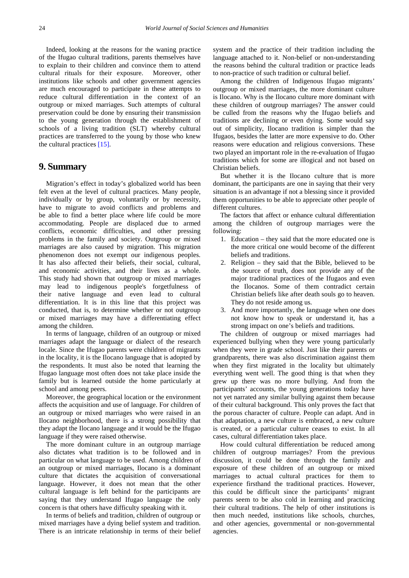Indeed, looking at the reasons for the waning practice of the Ifugao cultural traditions, parents themselves have to explain to their children and convince them to attend cultural rituals for their exposure. Moreover, other institutions like schools and other government agencies are much encouraged to participate in these attempts to reduce cultural differentiation in the context of an outgroup or mixed marriages. Such attempts of cultural preservation could be done by ensuring their transmission to the young generation through the establishment of schools of a living tradition (SLT) whereby cultural practices are transferred to the young by those who knew the cultural practices [\[15\].](#page-11-14)

## **9. Summary**

Migration's effect in today's globalized world has been felt even at the level of cultural practices. Many people, individually or by group, voluntarily or by necessity, have to migrate to avoid conflicts and problems and be able to find a better place where life could be more accommodating. People are displaced due to armed conflicts, economic difficulties, and other pressing problems in the family and society. Outgroup or mixed marriages are also caused by migration. This migration phenomenon does not exempt our indigenous peoples. It has also affected their beliefs, their social, cultural, and economic activities, and their lives as a whole. This study had shown that outgroup or mixed marriages may lead to indigenous people's forgetfulness of their native language and even lead to cultural differentiation. It is in this line that this project was conducted, that is, to determine whether or not outgroup or mixed marriages may have a differentiating effect among the children.

In terms of language, children of an outgroup or mixed marriages adapt the language or dialect of the research locale. Since the Ifugao parents were children of migrants in the locality, it is the Ilocano language that is adopted by the respondents. It must also be noted that learning the Ifugao language most often does not take place inside the family but is learned outside the home particularly at school and among peers.

Moreover, the geographical location or the environment affects the acquisition and use of language. For children of an outgroup or mixed marriages who were raised in an Ilocano neighborhood, there is a strong possibility that they adapt the Ilocano language and it would be the Ifugao language if they were raised otherwise.

The more dominant culture in an outgroup marriage also dictates what tradition is to be followed and in particular on what language to be used. Among children of an outgroup or mixed marriages, Ilocano is a dominant culture that dictates the acquisition of conversational language. However, it does not mean that the other cultural language is left behind for the participants are saying that they understand Ifugao language the only concern is that others have difficulty speaking with it.

In terms of beliefs and tradition, children of outgroup or mixed marriages have a dying belief system and tradition. There is an intricate relationship in terms of their belief system and the practice of their tradition including the language attached to it. Non-belief or non-understanding the reasons behind the cultural tradition or practice leads to non-practice of such tradition or cultural belief.

Among the children of Indigenous Ifugao migrants' outgroup or mixed marriages, the more dominant culture is Ilocano. Why is the Ilocano culture more dominant with these children of outgroup marriages? The answer could be culled from the reasons why the Ifugao beliefs and traditions are declining or even dying. Some would say out of simplicity, Ilocano tradition is simpler than the Ifugaos, besides the latter are more expensive to do. Other reasons were education and religious conversions. These two played an important role in the re-evaluation of Ifugao traditions which for some are illogical and not based on Christian beliefs.

But whether it is the Ilocano culture that is more dominant, the participants are one in saying that their very situation is an advantage if not a blessing since it provided them opportunities to be able to appreciate other people of different cultures.

The factors that affect or enhance cultural differentiation among the children of outgroup marriages were the following:

- 1. Education they said that the more educated one is the more critical one would become of the different beliefs and traditions.
- 2. Religion they said that the Bible, believed to be the source of truth, does not provide any of the major traditional practices of the Ifugaos and even the Ilocanos. Some of them contradict certain Christian beliefs like after death souls go to heaven. They do not reside among us.
- 3. And more importantly, the language when one does not know how to speak or understand it, has a strong impact on one's beliefs and traditions.

The children of outgroup or mixed marriages had experienced bullying when they were young particularly when they were in grade school. Just like their parents or grandparents, there was also discrimination against them when they first migrated in the locality but ultimately everything went well. The good thing is that when they grew up there was no more bullying. And from the participants' accounts, the young generations today have not yet narrated any similar bullying against them because of their cultural background. This only proves the fact that the porous character of culture. People can adapt. And in that adaptation, a new culture is embraced, a new culture is created, or a particular culture ceases to exist. In all cases, cultural differentiation takes place.

How could cultural differentiation be reduced among children of outgroup marriages? From the previous discussion, it could be done through the family and exposure of these children of an outgroup or mixed marriages to actual cultural practices for them to experience firsthand the traditional practices. However, this could be difficult since the participants' migrant parents seem to be also cold in learning and practicing their cultural traditions. The help of other institutions is then much needed, institutions like schools, churches, and other agencies, governmental or non-governmental agencies.